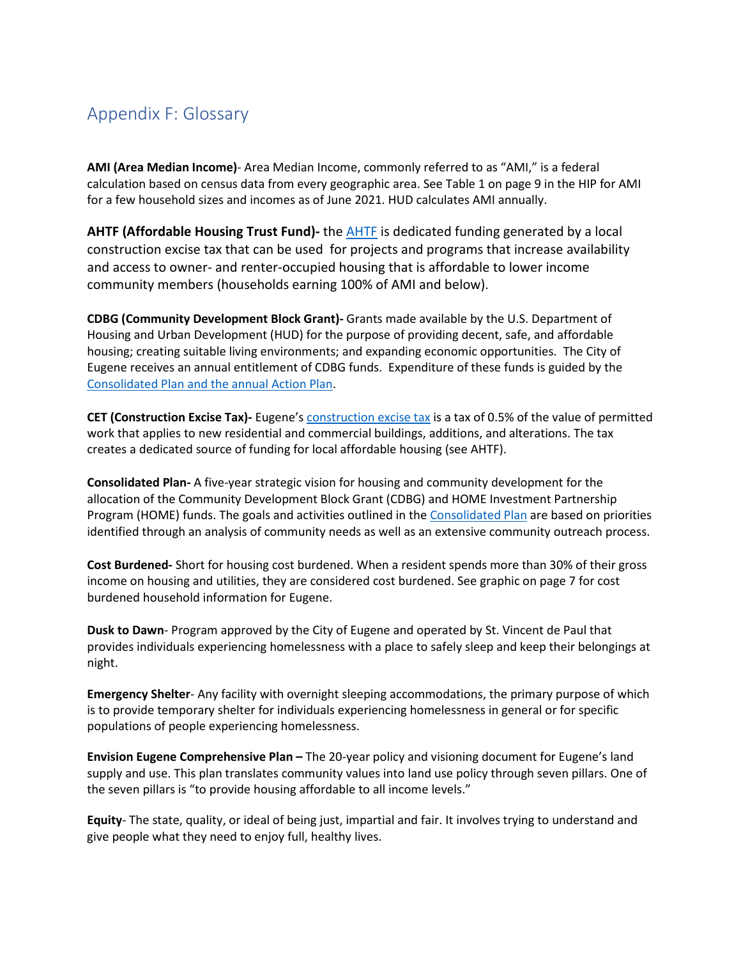## Appendix F: Glossary

**AMI (Area Median Income)**- Area Median Income, commonly referred to as "AMI," is a federal calculation based on census data from every geographic area. See Table 1 on page 9 in the HIP for AMI for a few household sizes and incomes as of June 2021. HUD calculates AMI annually.

**AHTF (Affordable Housing Trust Fund)-** the [AHTF](https://www.eugene-or.gov/4232/Affordable-Housing-Trust-Fund) is dedicated funding generated by a local construction excise tax that can be used for projects and programs that increase availability and access to owner- and renter-occupied housing that is affordable to lower income community members (households earning 100% of AMI and below).

**CDBG (Community Development Block Grant)-** Grants made available by the U.S. Department of Housing and Urban Development (HUD) for the purpose of providing decent, safe, and affordable housing; creating suitable living environments; and expanding economic opportunities. The City of Eugene receives an annual entitlement of CDBG funds. Expenditure of these funds is guided by the [Consolidated Plan and the annual A](https://www.eugene-or.gov/4045/Housing-and-Human-Service-Plans)ction Plan.

**CET (Construction Excise Tax)-** Eugene's [construction excise tax](https://www.eugene-or.gov/385/Fees) is a tax of 0.5% of the value of permitted work that applies to new residential and commercial buildings, additions, and alterations. The tax creates a dedicated source of funding for local affordable housing (see AHTF).

**Consolidated Plan-** A five-year strategic vision for housing and community development for the allocation of the Community Development Block Grant (CDBG) and HOME Investment Partnership Program (HOME) funds. The goals and activities outlined in the [Consolidated Plan](https://www.eugene-or.gov/4300/2020-Consolidated-Plan-Process) are based on priorities identified through an analysis of community needs as well as an extensive community outreach process.

**Cost Burdened-** Short for housing cost burdened. When a resident spends more than 30% of their gross income on housing and utilities, they are considered cost burdened. See graphic on page 7 for cost burdened household information for Eugene.

**Dusk to Dawn**- Program approved by the City of Eugene and operated by St. Vincent de Paul that provides individuals experiencing homelessness with a place to safely sleep and keep their belongings at night.

**Emergency Shelter**- Any facility with overnight sleeping accommodations, the primary purpose of which is to provide temporary shelter for individuals experiencing homelessness in general or for specific populations of people experiencing homelessness.

**Envision Eugene Comprehensive Plan –** The 20-year policy and visioning document for Eugene's land supply and use. This plan translates community values into land use policy through seven pillars. One of the seven pillars is "to provide housing affordable to all income levels."

**Equity**- The state, quality, or ideal of being just, impartial and fair. It involves trying to understand and give people what they need to enjoy full, healthy lives.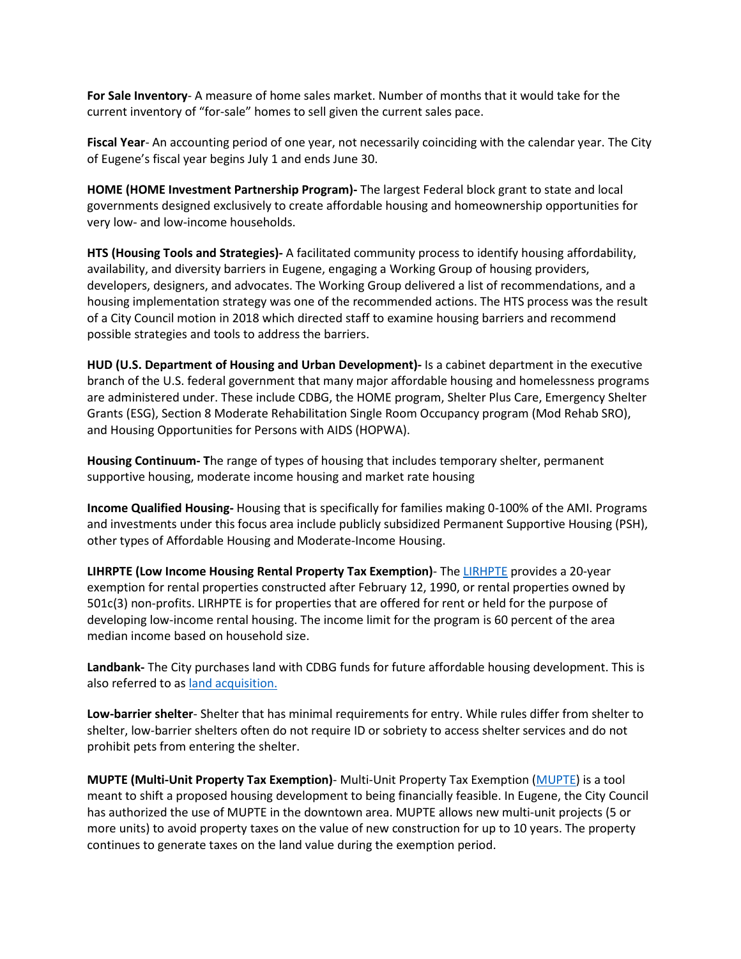**For Sale Inventory**- A measure of home sales market. Number of months that it would take for the current inventory of "for-sale" homes to sell given the current sales pace.

**Fiscal Year**- An accounting period of one year, not necessarily coinciding with the calendar year. The City of Eugene's fiscal year begins July 1 and ends June 30.

**HOME (HOME Investment Partnership Program)-** The largest Federal block grant to state and local governments designed exclusively to create affordable housing and homeownership opportunities for very low- and low-income households.

**HTS (Housing Tools and Strategies)-** A facilitated community process to identify housing affordability, availability, and diversity barriers in Eugene, engaging a Working Group of housing providers, developers, designers, and advocates. The Working Group delivered a list of recommendations, and a housing implementation strategy was one of the recommended actions. The HTS process was the result of a City Council motion in 2018 which directed staff to examine housing barriers and recommend possible strategies and tools to address the barriers.

**HUD (U.S. Department of Housing and Urban Development)-** Is a cabinet department in the executive branch of the U.S. federal government that many major affordable housing and homelessness programs are administered under. These include CDBG, the HOME program, Shelter Plus Care, Emergency Shelter Grants (ESG), Section 8 Moderate Rehabilitation Single Room Occupancy program (Mod Rehab SRO), and Housing Opportunities for Persons with AIDS (HOPWA).

**Housing Continuum- T**he range of types of housing that includes temporary shelter, permanent supportive housing, moderate income housing and market rate housing

**Income Qualified Housing-** Housing that is specifically for families making 0-100% of the AMI. Programs and investments under this focus area include publicly subsidized Permanent Supportive Housing (PSH), other types of Affordable Housing and Moderate-Income Housing.

**LIHRPTE (Low Income Housing Rental Property Tax Exemption)**- The [LIRHPTE](https://www.eugene-or.gov/1401/LITE-LIRHPTE) provides a 20-year exemption for rental properties constructed after February 12, 1990, or rental properties owned by 501c(3) non-profits. LIRHPTE is for properties that are offered for rent or held for the purpose of developing low-income rental housing. The income limit for the program is 60 percent of the area median income based on household size.

**Landbank-** The City purchases land with CDBG funds for future affordable housing development. This is also referred to as [land acquisi](https://www.eugene-or.gov/1042/Affordable-Housing-Development-Incentive)tion.

**Low-barrier shelter**- Shelter that has minimal requirements for entry. While rules differ from shelter to shelter, low-barrier shelters often do not require ID or sobriety to access shelter services and do not prohibit pets from entering the shelter.

**MUPTE (Multi-Unit Property Tax Exemption)**- Multi-Unit Property Tax Exemption [\(MUPTE\)](https://www.eugene-or.gov/829/Multi-Unit-Property-Tax-Exemption) is a tool meant to shift a proposed housing development to being financially feasible. In Eugene, the City Council has authorized the use of MUPTE in the downtown area. MUPTE allows new multi-unit projects (5 or more units) to avoid property taxes on the value of new construction for up to 10 years. The property continues to generate taxes on the land value during the exemption period.